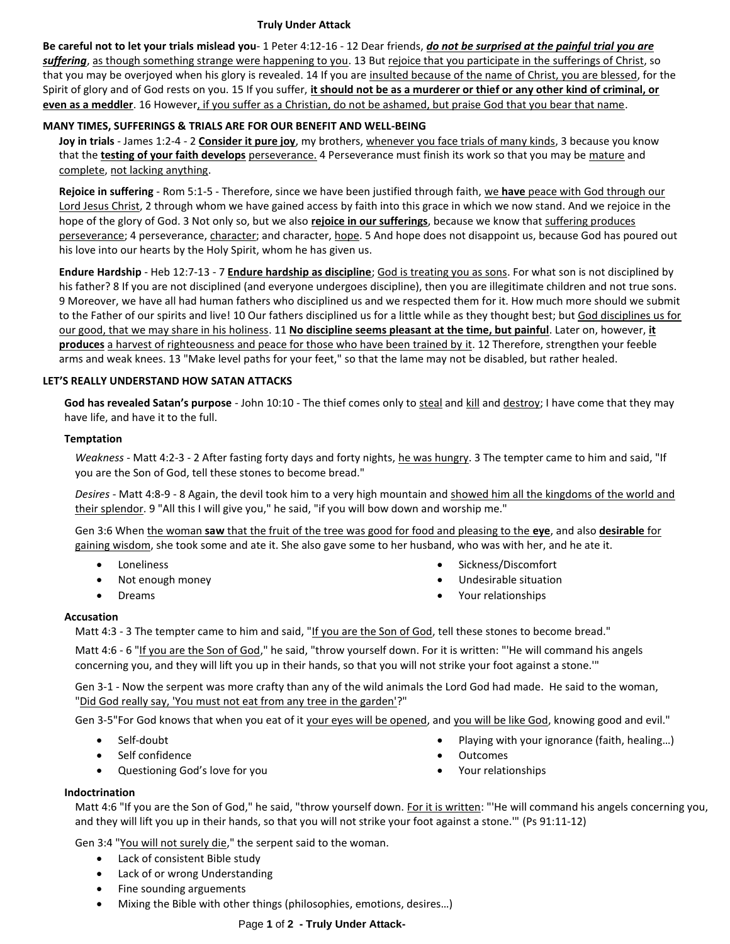#### **Truly Under Attack**

**Be careful not to let your trials mislead you**- 1 Peter 4:12-16 - 12 Dear friends, *do not be surprised at the painful trial you are suffering*, as though something strange were happening to you. 13 But rejoice that you participate in the sufferings of Christ, so that you may be overjoyed when his glory is revealed. 14 If you are insulted because of the name of Christ, you are blessed, for the Spirit of glory and of God rests on you. 15 If you suffer, **it should not be as a murderer or thief or any other kind of criminal, or even as a meddler**. 16 However, if you suffer as a Christian, do not be ashamed, but praise God that you bear that name.

# **MANY TIMES, SUFFERINGS & TRIALS ARE FOR OUR BENEFIT AND WELL-BEING**

**Joy in trials** - James 1:2-4 - 2 **Consider it pure joy**, my brothers, whenever you face trials of many kinds, 3 because you know that the **testing of your faith develops** perseverance. 4 Perseverance must finish its work so that you may be mature and complete, not lacking anything.

**Rejoice in suffering** - Rom 5:1-5 - Therefore, since we have been justified through faith, we **have** peace with God through our Lord Jesus Christ, 2 through whom we have gained access by faith into this grace in which we now stand. And we rejoice in the hope of the glory of God. 3 Not only so, but we also **rejoice in our sufferings**, because we know that suffering produces perseverance; 4 perseverance, character; and character, hope. 5 And hope does not disappoint us, because God has poured out his love into our hearts by the Holy Spirit, whom he has given us.

**Endure Hardship** - Heb 12:7-13 - 7 **Endure hardship as discipline**; God is treating you as sons. For what son is not disciplined by his father? 8 If you are not disciplined (and everyone undergoes discipline), then you are illegitimate children and not true sons. 9 Moreover, we have all had human fathers who disciplined us and we respected them for it. How much more should we submit to the Father of our spirits and live! 10 Our fathers disciplined us for a little while as they thought best; but God disciplines us for our good, that we may share in his holiness. 11 **No discipline seems pleasant at the time, but painful**. Later on, however, **it produces** a harvest of righteousness and peace for those who have been trained by it. 12 Therefore, strengthen your feeble arms and weak knees. 13 "Make level paths for your feet," so that the lame may not be disabled, but rather healed.

## **LET'S REALLY UNDERSTAND HOW SATAN ATTACKS**

**God has revealed Satan's purpose** - John 10:10 - The thief comes only to steal and kill and destroy; I have come that they may have life, and have it to the full.

## **Temptation**

*Weakness* - Matt 4:2-3 - 2 After fasting forty days and forty nights, he was hungry. 3 The tempter came to him and said, "If you are the Son of God, tell these stones to become bread."

*Desires* - Matt 4:8-9 - 8 Again, the devil took him to a very high mountain and showed him all the kingdoms of the world and their splendor. 9 "All this I will give you," he said, "if you will bow down and worship me."

Gen 3:6 When the woman **saw** that the fruit of the tree was good for food and pleasing to the **eye**, and also **desirable** for gaining wisdom, she took some and ate it. She also gave some to her husband, who was with her, and he ate it.

- Loneliness
- Not enough money
- Dreams
- Sickness/Discomfort
- Undesirable situation
- Your relationships

#### **Accusation**

Matt 4:3 - 3 The tempter came to him and said, "If you are the Son of God, tell these stones to become bread."

Matt 4:6 - 6 "If you are the Son of God," he said, "throw yourself down. For it is written: "'He will command his angels concerning you, and they will lift you up in their hands, so that you will not strike your foot against a stone.'"

Gen 3-1 - Now the serpent was more crafty than any of the wild animals the Lord God had made. He said to the woman, "Did God really say, 'You must not eat from any tree in the garden'?"

Gen 3-5"For God knows that when you eat of it your eyes will be opened, and you will be like God, knowing good and evil."

- Self-doubt
- Self confidence
- Questioning God's love for you
- Playing with your ignorance (faith, healing…)
- **Outcomes**
- Your relationships

#### **Indoctrination**

Matt 4:6 "If you are the Son of God," he said, "throw yourself down. For it is written: "'He will command his angels concerning you, and they will lift you up in their hands, so that you will not strike your foot against a stone.'" (Ps 91:11-12)

Gen 3:4 "You will not surely die," the serpent said to the woman.

- Lack of consistent Bible study
- Lack of or wrong Understanding
- Fine sounding arguements
- Mixing the Bible with other things (philosophies, emotions, desires…)